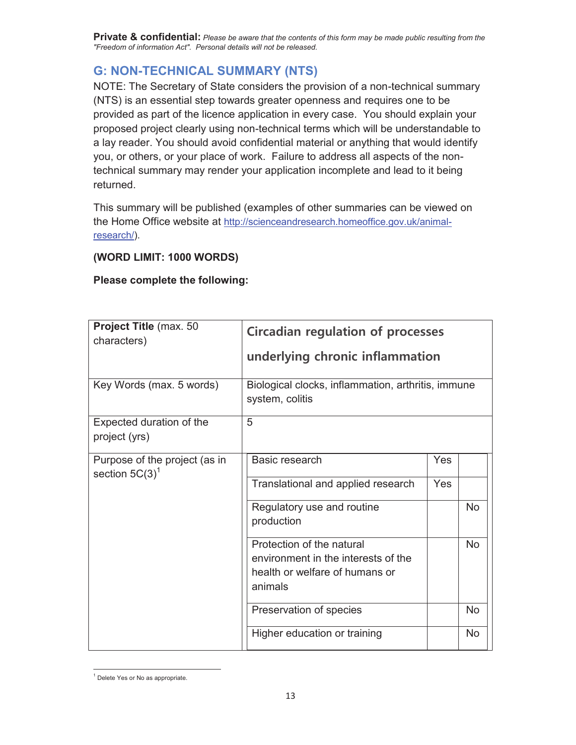## **G: NON-TECHNICAL SUMMARY (NTS)**

NOTE: The Secretary of State considers the provision of a non-technical summary (NTS) is an essential step towards greater openness and requires one to be provided as part of the licence application in every case. You should explain your proposed project clearly using non-technical terms which will be understandable to a lay reader. You should avoid confidential material or anything that would identify you, or others, or your place of work. Failure to address all aspects of the nontechnical summary may render your application incomplete and lead to it being returned.

This summary will be published (examples of other summaries can be viewed on the Home Office website at http://scienceandresearch.homeoffice.gov.uk/animalresearch/).

## **(WORD LIMIT: 1000 WORDS)**

## **Please complete the following:**

| Project Title (max. 50<br>characters)<br>Key Words (max. 5 words) | <b>Circadian regulation of processes</b><br>underlying chronic inflammation<br>Biological clocks, inflammation, arthritis, immune |            |                  |
|-------------------------------------------------------------------|-----------------------------------------------------------------------------------------------------------------------------------|------------|------------------|
| Expected duration of the<br>project (yrs)                         | system, colitis<br>5                                                                                                              |            |                  |
| Purpose of the project (as in<br>section $5C(3)^1$                | Basic research<br>Translational and applied research<br>Regulatory use and routine<br>production                                  | Yes<br>Yes | <b>No</b>        |
|                                                                   | Protection of the natural<br>environment in the interests of the<br>health or welfare of humans or<br>animals                     |            | <b>No</b>        |
|                                                                   | Preservation of species<br>Higher education or training                                                                           |            | <b>No</b><br>No. |

<sup>&</sup>lt;sup>1</sup> Delete Yes or No as appropriate.

 $\overline{a}$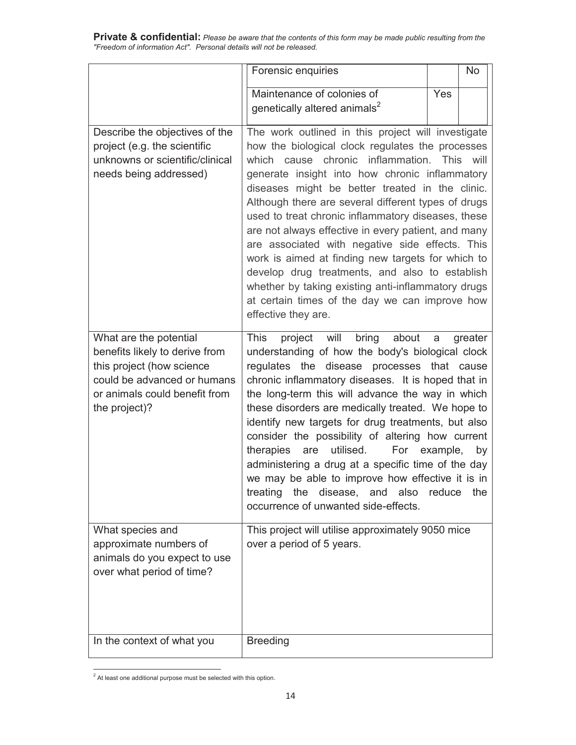|                                                                                                                                                       | Forensic enquiries                                                                                                                                                                                                                                                                                                  |     | <b>No</b> |
|-------------------------------------------------------------------------------------------------------------------------------------------------------|---------------------------------------------------------------------------------------------------------------------------------------------------------------------------------------------------------------------------------------------------------------------------------------------------------------------|-----|-----------|
|                                                                                                                                                       | Maintenance of colonies of                                                                                                                                                                                                                                                                                          | Yes |           |
|                                                                                                                                                       | genetically altered animals <sup>2</sup>                                                                                                                                                                                                                                                                            |     |           |
|                                                                                                                                                       |                                                                                                                                                                                                                                                                                                                     |     |           |
| Describe the objectives of the                                                                                                                        | The work outlined in this project will investigate                                                                                                                                                                                                                                                                  |     |           |
| project (e.g. the scientific                                                                                                                          | how the biological clock regulates the processes                                                                                                                                                                                                                                                                    |     |           |
| unknowns or scientific/clinical                                                                                                                       | which cause chronic inflammation. This will<br>generate insight into how chronic inflammatory                                                                                                                                                                                                                       |     |           |
| needs being addressed)                                                                                                                                | diseases might be better treated in the clinic.                                                                                                                                                                                                                                                                     |     |           |
|                                                                                                                                                       | Although there are several different types of drugs                                                                                                                                                                                                                                                                 |     |           |
|                                                                                                                                                       | used to treat chronic inflammatory diseases, these                                                                                                                                                                                                                                                                  |     |           |
|                                                                                                                                                       | are not always effective in every patient, and many                                                                                                                                                                                                                                                                 |     |           |
|                                                                                                                                                       | are associated with negative side effects. This                                                                                                                                                                                                                                                                     |     |           |
|                                                                                                                                                       | work is aimed at finding new targets for which to                                                                                                                                                                                                                                                                   |     |           |
|                                                                                                                                                       | develop drug treatments, and also to establish                                                                                                                                                                                                                                                                      |     |           |
|                                                                                                                                                       | whether by taking existing anti-inflammatory drugs                                                                                                                                                                                                                                                                  |     |           |
|                                                                                                                                                       | at certain times of the day we can improve how                                                                                                                                                                                                                                                                      |     |           |
|                                                                                                                                                       | effective they are.                                                                                                                                                                                                                                                                                                 |     |           |
| What are the potential<br>benefits likely to derive from<br>this project (how science<br>could be advanced or humans<br>or animals could benefit from | <b>This</b><br>will<br>bring<br>about<br>project<br>understanding of how the body's biological clock<br>regulates the disease processes that cause<br>chronic inflammatory diseases. It is hoped that in<br>the long-term this will advance the way in which                                                        | a   | greater   |
| the project)?                                                                                                                                         | these disorders are medically treated. We hope to<br>identify new targets for drug treatments, but also<br>consider the possibility of altering how current<br>therapies are<br>utilised.<br>For example,<br>administering a drug at a specific time of the day<br>we may be able to improve how effective it is in |     | by        |
|                                                                                                                                                       | disease, and also reduce<br>treating<br>the<br>occurrence of unwanted side-effects.                                                                                                                                                                                                                                 |     | the       |
| What species and                                                                                                                                      | This project will utilise approximately 9050 mice                                                                                                                                                                                                                                                                   |     |           |
| approximate numbers of                                                                                                                                | over a period of 5 years.                                                                                                                                                                                                                                                                                           |     |           |
| animals do you expect to use                                                                                                                          |                                                                                                                                                                                                                                                                                                                     |     |           |
| over what period of time?                                                                                                                             |                                                                                                                                                                                                                                                                                                                     |     |           |
|                                                                                                                                                       |                                                                                                                                                                                                                                                                                                                     |     |           |
|                                                                                                                                                       |                                                                                                                                                                                                                                                                                                                     |     |           |
|                                                                                                                                                       |                                                                                                                                                                                                                                                                                                                     |     |           |
| In the context of what you                                                                                                                            | <b>Breeding</b>                                                                                                                                                                                                                                                                                                     |     |           |

 $2$  At least one additional purpose must be selected with this option.

 $\overline{a}$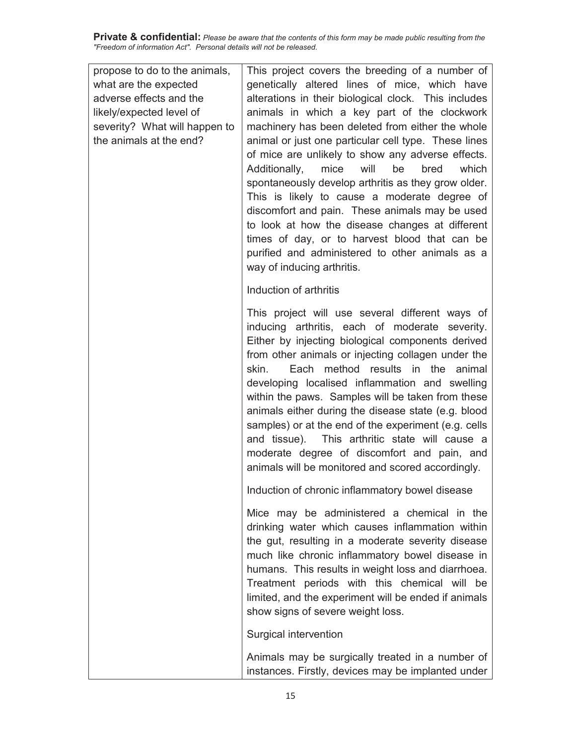| propose to do to the animals, | This project covers the breeding of a number of                                                                                                                                                                                                                                                                                                                                                                                                                                                                                                                                                                                              |
|-------------------------------|----------------------------------------------------------------------------------------------------------------------------------------------------------------------------------------------------------------------------------------------------------------------------------------------------------------------------------------------------------------------------------------------------------------------------------------------------------------------------------------------------------------------------------------------------------------------------------------------------------------------------------------------|
| what are the expected         | genetically altered lines of mice, which have                                                                                                                                                                                                                                                                                                                                                                                                                                                                                                                                                                                                |
| adverse effects and the       | alterations in their biological clock. This includes                                                                                                                                                                                                                                                                                                                                                                                                                                                                                                                                                                                         |
| likely/expected level of      | animals in which a key part of the clockwork                                                                                                                                                                                                                                                                                                                                                                                                                                                                                                                                                                                                 |
| severity? What will happen to | machinery has been deleted from either the whole                                                                                                                                                                                                                                                                                                                                                                                                                                                                                                                                                                                             |
| the animals at the end?       | animal or just one particular cell type. These lines<br>of mice are unlikely to show any adverse effects.<br>Additionally,<br>mice<br>will<br>be<br>bred<br>which<br>spontaneously develop arthritis as they grow older.<br>This is likely to cause a moderate degree of<br>discomfort and pain. These animals may be used<br>to look at how the disease changes at different<br>times of day, or to harvest blood that can be<br>purified and administered to other animals as a<br>way of inducing arthritis.                                                                                                                              |
|                               | Induction of arthritis                                                                                                                                                                                                                                                                                                                                                                                                                                                                                                                                                                                                                       |
|                               | This project will use several different ways of<br>inducing arthritis, each of moderate severity.<br>Either by injecting biological components derived<br>from other animals or injecting collagen under the<br>skin.<br>Each<br>method results in the<br>animal<br>developing localised inflammation and swelling<br>within the paws. Samples will be taken from these<br>animals either during the disease state (e.g. blood<br>samples) or at the end of the experiment (e.g. cells<br>and tissue). This arthritic state will cause a<br>moderate degree of discomfort and pain, and<br>animals will be monitored and scored accordingly. |
|                               | Induction of chronic inflammatory bowel disease                                                                                                                                                                                                                                                                                                                                                                                                                                                                                                                                                                                              |
|                               | Mice may be administered a chemical in the<br>drinking water which causes inflammation within<br>the gut, resulting in a moderate severity disease<br>much like chronic inflammatory bowel disease in<br>humans. This results in weight loss and diarrhoea.<br>Treatment periods with this chemical will be<br>limited, and the experiment will be ended if animals<br>show signs of severe weight loss.                                                                                                                                                                                                                                     |
|                               | Surgical intervention                                                                                                                                                                                                                                                                                                                                                                                                                                                                                                                                                                                                                        |
|                               | Animals may be surgically treated in a number of<br>instances. Firstly, devices may be implanted under                                                                                                                                                                                                                                                                                                                                                                                                                                                                                                                                       |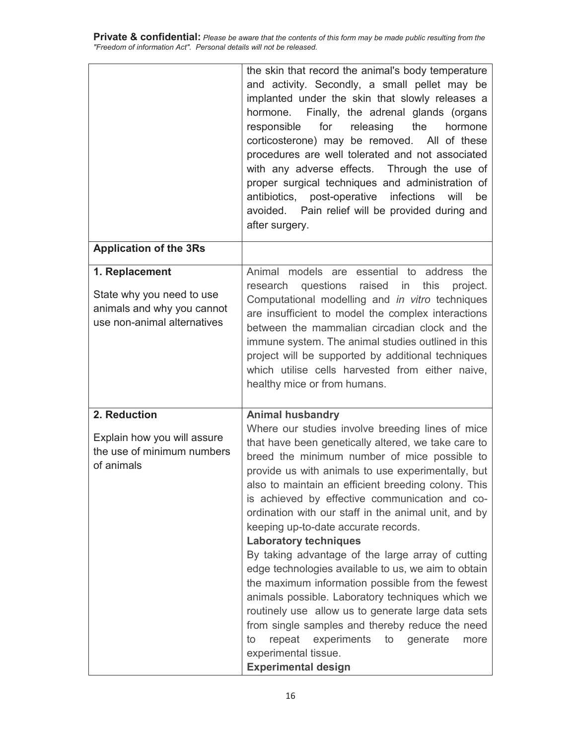|                                                                                                          | the skin that record the animal's body temperature<br>and activity. Secondly, a small pellet may be<br>implanted under the skin that slowly releases a<br>hormone. Finally, the adrenal glands (organs<br>for<br>releasing<br>the<br>hormone<br>responsible<br>corticosterone) may be removed. All of these<br>procedures are well tolerated and not associated<br>with any adverse effects. Through the use of<br>proper surgical techniques and administration of<br>antibiotics, post-operative<br>infections<br>will<br>be<br>avoided. Pain relief will be provided during and<br>after surgery.                                                                                                                                                                                                                                                                                                                          |
|----------------------------------------------------------------------------------------------------------|-------------------------------------------------------------------------------------------------------------------------------------------------------------------------------------------------------------------------------------------------------------------------------------------------------------------------------------------------------------------------------------------------------------------------------------------------------------------------------------------------------------------------------------------------------------------------------------------------------------------------------------------------------------------------------------------------------------------------------------------------------------------------------------------------------------------------------------------------------------------------------------------------------------------------------|
| <b>Application of the 3Rs</b>                                                                            |                                                                                                                                                                                                                                                                                                                                                                                                                                                                                                                                                                                                                                                                                                                                                                                                                                                                                                                               |
| 1. Replacement<br>State why you need to use<br>animals and why you cannot<br>use non-animal alternatives | Animal models are essential to address the<br>research questions raised in<br>this<br>project.<br>Computational modelling and in vitro techniques<br>are insufficient to model the complex interactions<br>between the mammalian circadian clock and the<br>immune system. The animal studies outlined in this<br>project will be supported by additional techniques<br>which utilise cells harvested from either naive,<br>healthy mice or from humans.                                                                                                                                                                                                                                                                                                                                                                                                                                                                      |
| 2. Reduction<br>Explain how you will assure<br>the use of minimum numbers<br>of animals                  | <b>Animal husbandry</b><br>Where our studies involve breeding lines of mice<br>that have been genetically altered, we take care to<br>breed the minimum number of mice possible to<br>provide us with animals to use experimentally, but<br>also to maintain an efficient breeding colony. This<br>is achieved by effective communication and co-<br>ordination with our staff in the animal unit, and by<br>keeping up-to-date accurate records.<br><b>Laboratory techniques</b><br>By taking advantage of the large array of cutting<br>edge technologies available to us, we aim to obtain<br>the maximum information possible from the fewest<br>animals possible. Laboratory techniques which we<br>routinely use allow us to generate large data sets<br>from single samples and thereby reduce the need<br>repeat<br>experiments<br>to<br>generate<br>to<br>more<br>experimental tissue.<br><b>Experimental design</b> |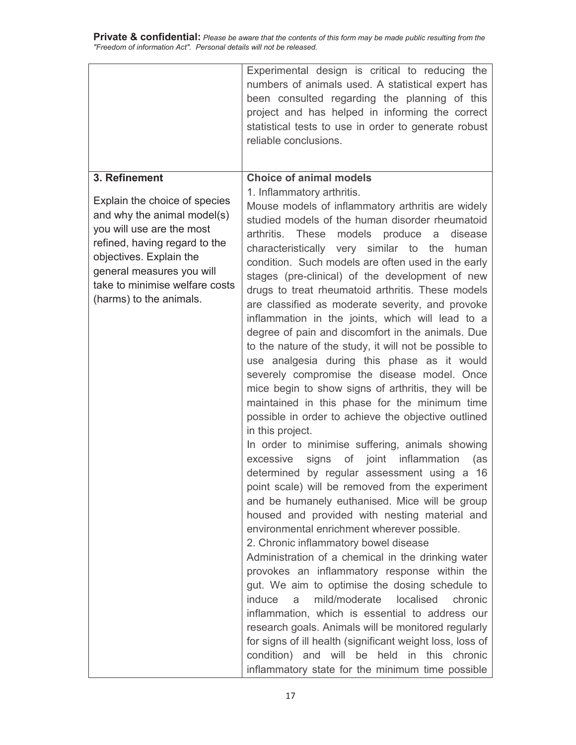|                                                                                                                                                                                                                                                                  | Experimental design is critical to reducing the<br>numbers of animals used. A statistical expert has<br>been consulted regarding the planning of this<br>project and has helped in informing the correct<br>statistical tests to use in order to generate robust<br>reliable conclusions.                                                                                                                                                                                                                                                                                                                                                                                                                                                                                                                                                                                                                                                                                                                                                                                                                                                                                                                                                                                                                                                                                                                                                                                                                                                                                                                                                                                                                                                                                                                                                            |
|------------------------------------------------------------------------------------------------------------------------------------------------------------------------------------------------------------------------------------------------------------------|------------------------------------------------------------------------------------------------------------------------------------------------------------------------------------------------------------------------------------------------------------------------------------------------------------------------------------------------------------------------------------------------------------------------------------------------------------------------------------------------------------------------------------------------------------------------------------------------------------------------------------------------------------------------------------------------------------------------------------------------------------------------------------------------------------------------------------------------------------------------------------------------------------------------------------------------------------------------------------------------------------------------------------------------------------------------------------------------------------------------------------------------------------------------------------------------------------------------------------------------------------------------------------------------------------------------------------------------------------------------------------------------------------------------------------------------------------------------------------------------------------------------------------------------------------------------------------------------------------------------------------------------------------------------------------------------------------------------------------------------------------------------------------------------------------------------------------------------------|
| 3. Refinement<br>Explain the choice of species<br>and why the animal model(s)<br>you will use are the most<br>refined, having regard to the<br>objectives. Explain the<br>general measures you will<br>take to minimise welfare costs<br>(harms) to the animals. | <b>Choice of animal models</b><br>1. Inflammatory arthritis.<br>Mouse models of inflammatory arthritis are widely<br>studied models of the human disorder rheumatoid<br>arthritis. These models produce<br>disease<br>a<br>characteristically very similar to the<br>human<br>condition. Such models are often used in the early<br>stages (pre-clinical) of the development of new<br>drugs to treat rheumatoid arthritis. These models<br>are classified as moderate severity, and provoke<br>inflammation in the joints, which will lead to a<br>degree of pain and discomfort in the animals. Due<br>to the nature of the study, it will not be possible to<br>use analgesia during this phase as it would<br>severely compromise the disease model. Once<br>mice begin to show signs of arthritis, they will be<br>maintained in this phase for the minimum time<br>possible in order to achieve the objective outlined<br>in this project.<br>In order to minimise suffering, animals showing<br>signs of joint inflammation<br>excessive<br>(as<br>determined by regular assessment using a 16<br>point scale) will be removed from the experiment<br>and be humanely euthanised. Mice will be group<br>housed and provided with nesting material and<br>environmental enrichment wherever possible.<br>2. Chronic inflammatory bowel disease<br>Administration of a chemical in the drinking water<br>provokes an inflammatory response within the<br>gut. We aim to optimise the dosing schedule to<br>induce<br>mild/moderate<br>localised<br>chronic<br>a<br>inflammation, which is essential to address our<br>research goals. Animals will be monitored regularly<br>for signs of ill health (significant weight loss, loss of<br>condition) and will be<br>held in this<br>chronic<br>inflammatory state for the minimum time possible |